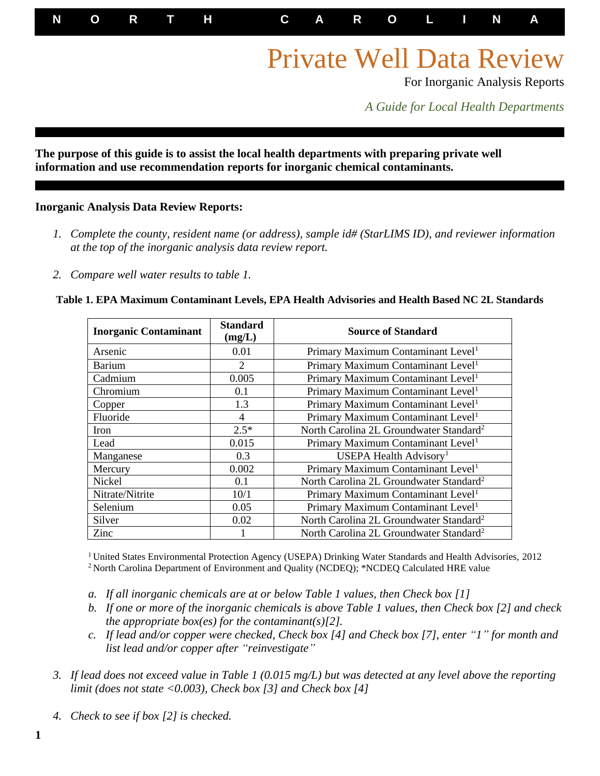**N O R T H C A R O L I N A**

## Private Well Data Review

For Inorganic Analysis Reports

*A Guide for Local Health Departments*

## **The purpose of this guide is to assist the local health departments with preparing private well information and use recommendation reports for inorganic chemical contaminants.**

## **Inorganic Analysis Data Review Reports:**

٦

- *1. Complete the county, resident name (or address), sample id# (StarLIMS ID), and reviewer information at the top of the inorganic analysis data review report.*
- *2. Compare well water results to table 1.*

| <b>Inorganic Contaminant</b> | <b>Standard</b><br>(mg/L) | <b>Source of Standard</b>                           |  |
|------------------------------|---------------------------|-----------------------------------------------------|--|
| Arsenic                      | 0.01                      | Primary Maximum Contaminant Level <sup>1</sup>      |  |
| <b>Barium</b>                | $\overline{2}$            | Primary Maximum Contaminant Level <sup>1</sup>      |  |
| Cadmium                      | 0.005                     | Primary Maximum Contaminant Level <sup>1</sup>      |  |
| Chromium                     | 0.1                       | Primary Maximum Contaminant Level <sup>1</sup>      |  |
| Copper                       | 1.3                       | Primary Maximum Contaminant Level <sup>1</sup>      |  |
| Fluoride                     | $\overline{4}$            | Primary Maximum Contaminant Level <sup>1</sup>      |  |
| Iron                         | $2.5*$                    | North Carolina 2L Groundwater Standard <sup>2</sup> |  |
| Lead                         | 0.015                     | Primary Maximum Contaminant Level <sup>1</sup>      |  |
| Manganese                    | 0.3                       | USEPA Health Advisory <sup>1</sup>                  |  |
| Mercury                      | 0.002                     | Primary Maximum Contaminant Level <sup>1</sup>      |  |
| Nickel                       | 0.1                       | North Carolina 2L Groundwater Standard <sup>2</sup> |  |
| Nitrate/Nitrite              | 10/1                      | Primary Maximum Contaminant Level <sup>1</sup>      |  |
| Selenium                     | 0.05                      | Primary Maximum Contaminant Level <sup>1</sup>      |  |
| Silver                       | 0.02                      | North Carolina 2L Groundwater Standard <sup>2</sup> |  |
| Zinc                         |                           | North Carolina 2L Groundwater Standard <sup>2</sup> |  |

<sup>1</sup>United States Environmental Protection Agency (USEPA) Drinking Water Standards and Health Advisories, 2012 <sup>2</sup> North Carolina Department of Environment and Quality (NCDEQ); \*NCDEQ Calculated HRE value

- *a. If all inorganic chemicals are at or below Table 1 values, then Check box [1]*
- *b. If one or more of the inorganic chemicals is above Table 1 values, then Check box [2] and check the appropriate box(es) for the contaminant(s)[2].*
- *c. If lead and/or copper were checked, Check box [4] and Check box [7], enter "1" for month and list lead and/or copper after "reinvestigate"*
- *3. If lead does not exceed value in Table 1 (0.015 mg/L) but was detected at any level above the reporting limit (does not state <0.003), Check box [3] and Check box [4]*
- *4. Check to see if box [2] is checked.*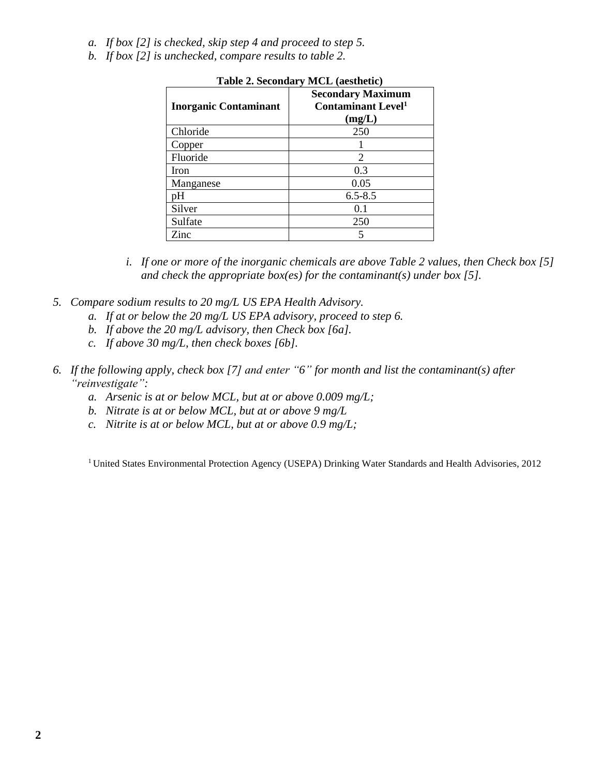- *a. If box [2] is checked, skip step 4 and proceed to step 5.*
- *b. If box [2] is unchecked, compare results to table 2.*

| <b>Inorganic Contaminant</b> | <b>Secondary Maximum</b><br><b>Contaminant Level</b> <sup>1</sup><br>(mg/L) |
|------------------------------|-----------------------------------------------------------------------------|
| Chloride                     | 250                                                                         |
| Copper                       |                                                                             |
| Fluoride                     | 2                                                                           |
| Iron                         | 0.3                                                                         |
| Manganese                    | 0.05                                                                        |
| pH                           | $6.5 - 8.5$                                                                 |
| Silver                       | 0.1                                                                         |
| Sulfate                      | 250                                                                         |
| Zinc                         | 5                                                                           |

## **Table 2. Secondary MCL (aesthetic)**

- *i. If one or more of the inorganic chemicals are above Table 2 values, then Check box [5] and check the appropriate box(es) for the contaminant(s) under box [5].*
- *5. Compare sodium results to 20 mg/L US EPA Health Advisory.* 
	- *a. If at or below the 20 mg/L US EPA advisory, proceed to step 6.*
	- *b. If above the 20 mg/L advisory, then Check box [6a].*
	- *c. If above 30 mg/L, then check boxes [6b].*
- *6. If the following apply, check box [7] and enter "6" for month and list the contaminant(s) after "reinvestigate":*
	- *a. Arsenic is at or below MCL, but at or above 0.009 mg/L;*
	- *b. Nitrate is at or below MCL, but at or above 9 mg/L*
	- *c. Nitrite is at or below MCL, but at or above 0.9 mg/L;*

<sup>1</sup> United States Environmental Protection Agency (USEPA) Drinking Water Standards and Health Advisories, 2012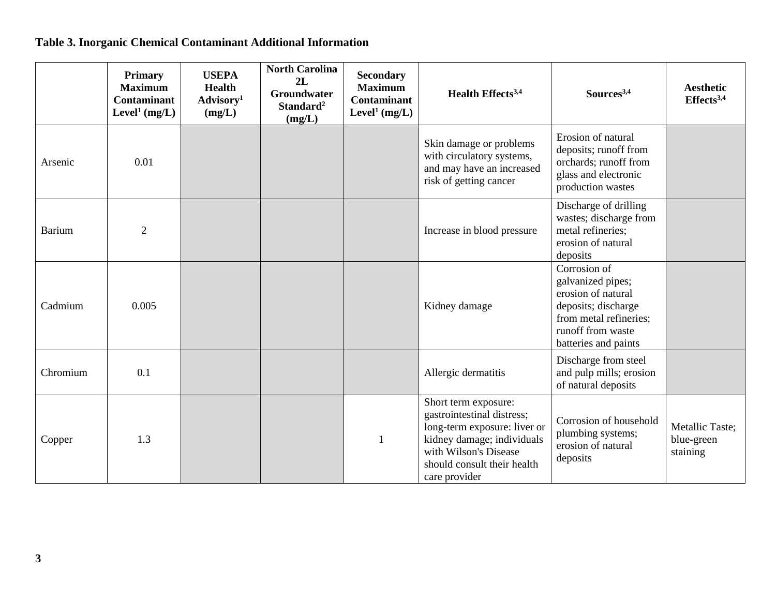**Table 3. Inorganic Chemical Contaminant Additional Information**

|               | <b>Primary</b><br><b>Maximum</b><br><b>Contaminant</b><br>Level <sup>1</sup> (mg/L) | <b>USEPA</b><br><b>Health</b><br>Advisory <sup>1</sup><br>(mg/L) | <b>North Carolina</b><br>2L<br><b>Groundwater</b><br>Standard <sup>2</sup><br>(mg/L) | <b>Secondary</b><br><b>Maximum</b><br><b>Contaminant</b><br>Level <sup>1</sup> (mg/L) | Health Effects <sup>3,4</sup>                                                                                                                                                             | Sources <sup>3,4</sup>                                                                                                                                | <b>Aesthetic</b><br>$E \text{ffects}^{3,4}$ |
|---------------|-------------------------------------------------------------------------------------|------------------------------------------------------------------|--------------------------------------------------------------------------------------|---------------------------------------------------------------------------------------|-------------------------------------------------------------------------------------------------------------------------------------------------------------------------------------------|-------------------------------------------------------------------------------------------------------------------------------------------------------|---------------------------------------------|
| Arsenic       | 0.01                                                                                |                                                                  |                                                                                      |                                                                                       | Skin damage or problems<br>with circulatory systems,<br>and may have an increased<br>risk of getting cancer                                                                               | Erosion of natural<br>deposits; runoff from<br>orchards; runoff from<br>glass and electronic<br>production wastes                                     |                                             |
| <b>Barium</b> | $\overline{2}$                                                                      |                                                                  |                                                                                      |                                                                                       | Increase in blood pressure                                                                                                                                                                | Discharge of drilling<br>wastes; discharge from<br>metal refineries;<br>erosion of natural<br>deposits                                                |                                             |
| Cadmium       | 0.005                                                                               |                                                                  |                                                                                      |                                                                                       | Kidney damage                                                                                                                                                                             | Corrosion of<br>galvanized pipes;<br>erosion of natural<br>deposits; discharge<br>from metal refineries;<br>runoff from waste<br>batteries and paints |                                             |
| Chromium      | 0.1                                                                                 |                                                                  |                                                                                      |                                                                                       | Allergic dermatitis                                                                                                                                                                       | Discharge from steel<br>and pulp mills; erosion<br>of natural deposits                                                                                |                                             |
| Copper        | 1.3                                                                                 |                                                                  |                                                                                      | 1                                                                                     | Short term exposure:<br>gastrointestinal distress;<br>long-term exposure: liver or<br>kidney damage; individuals<br>with Wilson's Disease<br>should consult their health<br>care provider | Corrosion of household<br>plumbing systems;<br>erosion of natural<br>deposits                                                                         | Metallic Taste;<br>blue-green<br>staining   |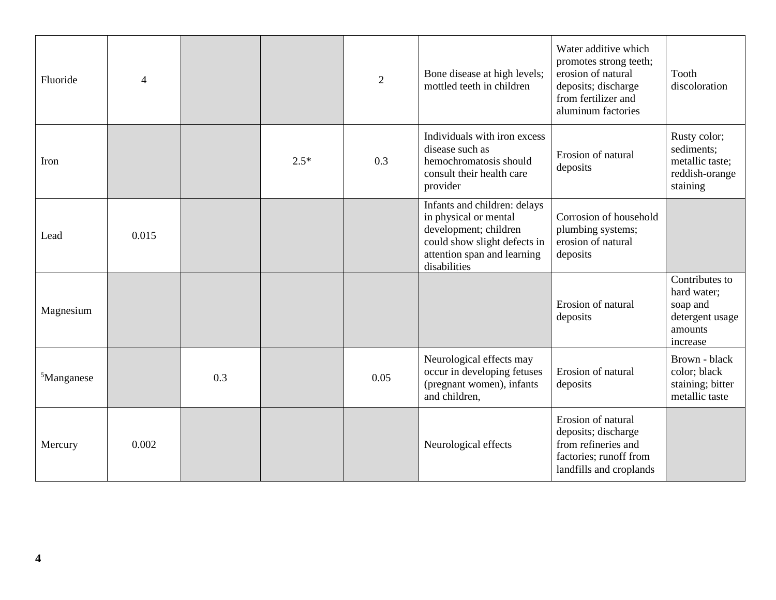| Fluoride               | $\overline{4}$ |     |        | $\overline{2}$ | Bone disease at high levels;<br>mottled teeth in children                                                                                                     | Water additive which<br>promotes strong teeth;<br>erosion of natural<br>deposits; discharge<br>from fertilizer and<br>aluminum factories | Tooth<br>discoloration                                                              |
|------------------------|----------------|-----|--------|----------------|---------------------------------------------------------------------------------------------------------------------------------------------------------------|------------------------------------------------------------------------------------------------------------------------------------------|-------------------------------------------------------------------------------------|
| Iron                   |                |     | $2.5*$ | 0.3            | Individuals with iron excess<br>disease such as<br>hemochromatosis should<br>consult their health care<br>provider                                            | Erosion of natural<br>deposits                                                                                                           | Rusty color;<br>sediments;<br>metallic taste;<br>reddish-orange<br>staining         |
| Lead                   | 0.015          |     |        |                | Infants and children: delays<br>in physical or mental<br>development; children<br>could show slight defects in<br>attention span and learning<br>disabilities | Corrosion of household<br>plumbing systems;<br>erosion of natural<br>deposits                                                            |                                                                                     |
| Magnesium              |                |     |        |                |                                                                                                                                                               | Erosion of natural<br>deposits                                                                                                           | Contributes to<br>hard water;<br>soap and<br>detergent usage<br>amounts<br>increase |
| <sup>5</sup> Manganese |                | 0.3 |        | 0.05           | Neurological effects may<br>occur in developing fetuses<br>(pregnant women), infants<br>and children,                                                         | Erosion of natural<br>deposits                                                                                                           | Brown - black<br>color; black<br>staining; bitter<br>metallic taste                 |
| Mercury                | 0.002          |     |        |                | Neurological effects                                                                                                                                          | Erosion of natural<br>deposits; discharge<br>from refineries and<br>factories; runoff from<br>landfills and croplands                    |                                                                                     |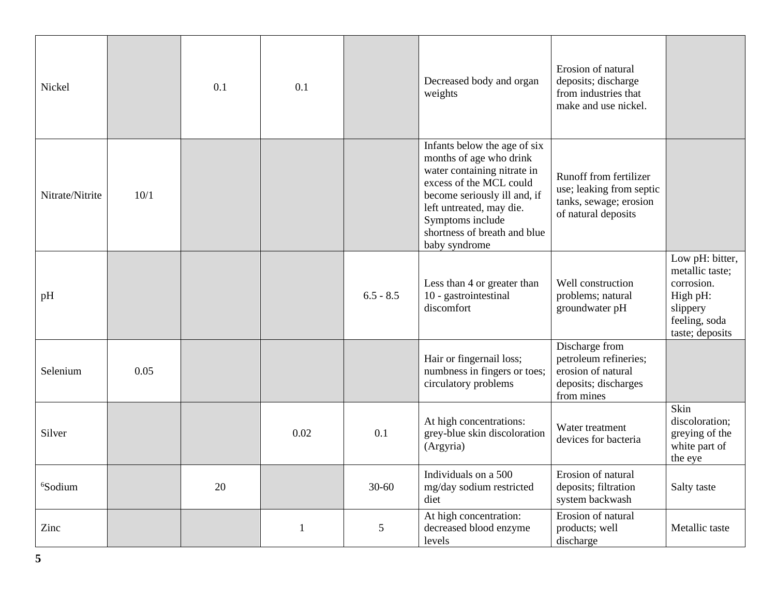| Nickel              |      | 0.1 | 0.1  |             | Decreased body and organ<br>weights                                                                                                                                                                                                                | Erosion of natural<br>deposits; discharge<br>from industries that<br>make and use nickel.           |                                                                                                              |
|---------------------|------|-----|------|-------------|----------------------------------------------------------------------------------------------------------------------------------------------------------------------------------------------------------------------------------------------------|-----------------------------------------------------------------------------------------------------|--------------------------------------------------------------------------------------------------------------|
| Nitrate/Nitrite     | 10/1 |     |      |             | Infants below the age of six<br>months of age who drink<br>water containing nitrate in<br>excess of the MCL could<br>become seriously ill and, if<br>left untreated, may die.<br>Symptoms include<br>shortness of breath and blue<br>baby syndrome | Runoff from fertilizer<br>use; leaking from septic<br>tanks, sewage; erosion<br>of natural deposits |                                                                                                              |
| pH                  |      |     |      | $6.5 - 8.5$ | Less than 4 or greater than<br>10 - gastrointestinal<br>discomfort                                                                                                                                                                                 | Well construction<br>problems; natural<br>groundwater pH                                            | Low pH: bitter,<br>metallic taste;<br>corrosion.<br>High pH:<br>slippery<br>feeling, soda<br>taste; deposits |
| Selenium            | 0.05 |     |      |             | Hair or fingernail loss;<br>numbness in fingers or toes;<br>circulatory problems                                                                                                                                                                   | Discharge from<br>petroleum refineries;<br>erosion of natural<br>deposits; discharges<br>from mines |                                                                                                              |
| Silver              |      |     | 0.02 | 0.1         | At high concentrations:<br>grey-blue skin discoloration<br>(Argyria)                                                                                                                                                                               | Water treatment<br>devices for bacteria                                                             | Skin<br>discoloration;<br>greying of the<br>white part of<br>the eye                                         |
| <sup>6</sup> Sodium |      | 20  |      | $30 - 60$   | Individuals on a 500<br>mg/day sodium restricted<br>diet                                                                                                                                                                                           | Erosion of natural<br>deposits; filtration<br>system backwash                                       | Salty taste                                                                                                  |
| Zinc                |      |     | 1    | 5           | At high concentration:<br>decreased blood enzyme<br>levels                                                                                                                                                                                         | Erosion of natural<br>products; well<br>discharge                                                   | Metallic taste                                                                                               |